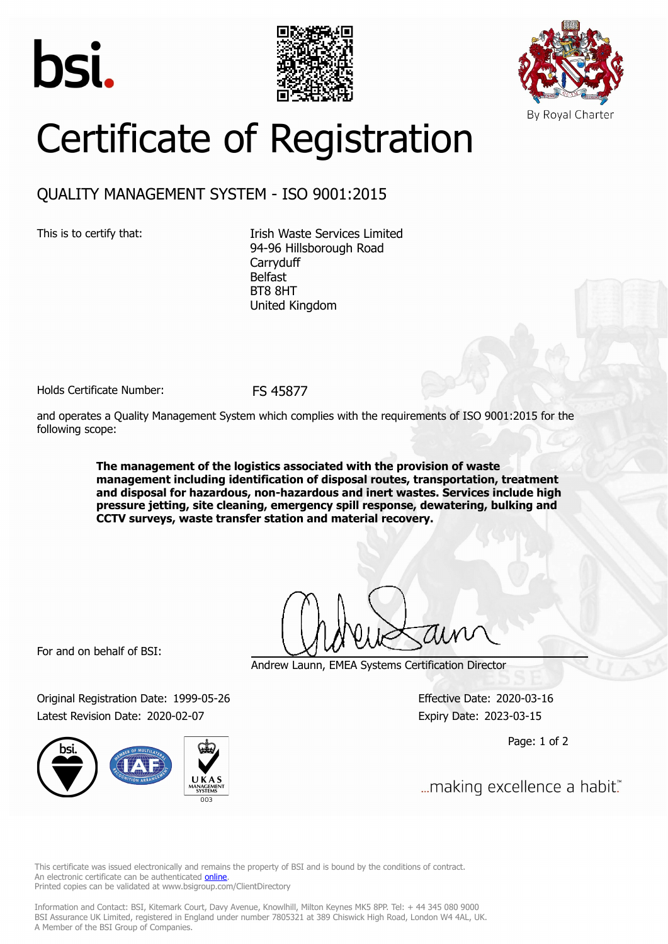





## Certificate of Registration

## QUALITY MANAGEMENT SYSTEM - ISO 9001:2015

This is to certify that: Itish Waste Services Limited 94-96 Hillsborough Road **Carryduff** Belfast BT8 8HT United Kingdom

Holds Certificate Number: FS 45877

and operates a Quality Management System which complies with the requirements of ISO 9001:2015 for the following scope:

> **The management of the logistics associated with the provision of waste management including identification of disposal routes, transportation, treatment and disposal for hazardous, non-hazardous and inert wastes. Services include high pressure jetting, site cleaning, emergency spill response, dewatering, bulking and CCTV surveys, waste transfer station and material recovery.**

For and on behalf of BSI:

Andrew Launn, EMEA Systems Certification Director

Original Registration Date: 1999-05-26 Effective Date: 2020-03-16 Latest Revision Date: 2020-02-07 **Expiry Date: 2023-03-15** 

Page: 1 of 2

... making excellence a habit."

This certificate was issued electronically and remains the property of BSI and is bound by the conditions of contract. An electronic certificate can be authenticated **[online](https://pgplus.bsigroup.com/CertificateValidation/CertificateValidator.aspx?CertificateNumber=FS+45877&ReIssueDate=07%2f02%2f2020&Template=uk)**. Printed copies can be validated at www.bsigroup.com/ClientDirectory

Information and Contact: BSI, Kitemark Court, Davy Avenue, Knowlhill, Milton Keynes MK5 8PP. Tel: + 44 345 080 9000 BSI Assurance UK Limited, registered in England under number 7805321 at 389 Chiswick High Road, London W4 4AL, UK. A Member of the BSI Group of Companies.